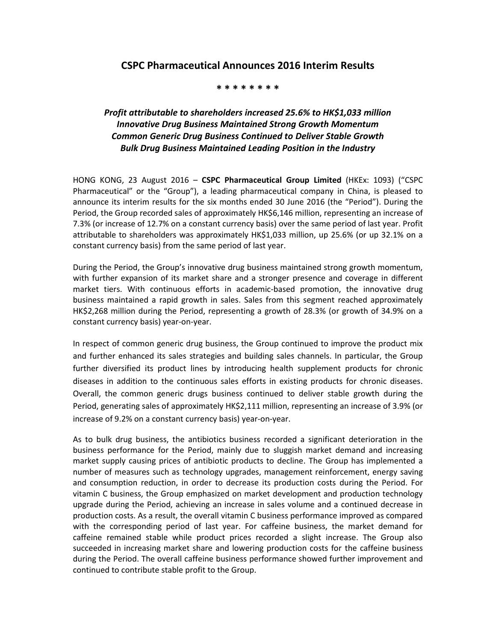## **CSPC Pharmaceutical Announces 2016 Interim Results**

## **\* \* \* \* \* \* \* \***

## *Profit attributable to shareholders increased 25.6% to HK\$1,033 million Innovative Drug Business Maintained Strong Growth Momentum Common Generic Drug Business Continued to Deliver Stable Growth Bulk Drug Business Maintained Leading Position in the Industry*

HONG KONG, 23 August 2016 – **CSPC Pharmaceutical Group Limited** (HKEx: 1093) ("CSPC Pharmaceutical" or the "Group"), a leading pharmaceutical company in China, is pleased to announce its interim results for the six months ended 30 June 2016 (the "Period"). During the Period, the Group recorded sales of approximately HK\$6,146 million, representing an increase of 7.3% (or increase of 12.7% on a constant currency basis) over the same period of last year. Profit attributable to shareholders was approximately HK\$1,033 million, up 25.6% (or up 32.1% on a constant currency basis) from the same period of last year.

During the Period, the Group's innovative drug business maintained strong growth momentum, with further expansion of its market share and a stronger presence and coverage in different market tiers. With continuous efforts in academic-based promotion, the innovative drug business maintained a rapid growth in sales. Sales from this segment reached approximately HK\$2,268 million during the Period, representing a growth of 28.3% (or growth of 34.9% on a constant currency basis) year-on-year.

In respect of common generic drug business, the Group continued to improve the product mix and further enhanced its sales strategies and building sales channels. In particular, the Group further diversified its product lines by introducing health supplement products for chronic diseases in addition to the continuous sales efforts in existing products for chronic diseases. Overall, the common generic drugs business continued to deliver stable growth during the Period, generating sales of approximately HK\$2,111 million, representing an increase of 3.9% (or increase of 9.2% on a constant currency basis) year-on-year.

As to bulk drug business, the antibiotics business recorded a significant deterioration in the business performance for the Period, mainly due to sluggish market demand and increasing market supply causing prices of antibiotic products to decline. The Group has implemented a number of measures such as technology upgrades, management reinforcement, energy saving and consumption reduction, in order to decrease its production costs during the Period. For vitamin C business, the Group emphasized on market development and production technology upgrade during the Period, achieving an increase in sales volume and a continued decrease in production costs. As a result, the overall vitamin C business performance improved as compared with the corresponding period of last year. For caffeine business, the market demand for caffeine remained stable while product prices recorded a slight increase. The Group also succeeded in increasing market share and lowering production costs for the caffeine business during the Period. The overall caffeine business performance showed further improvement and continued to contribute stable profit to the Group.